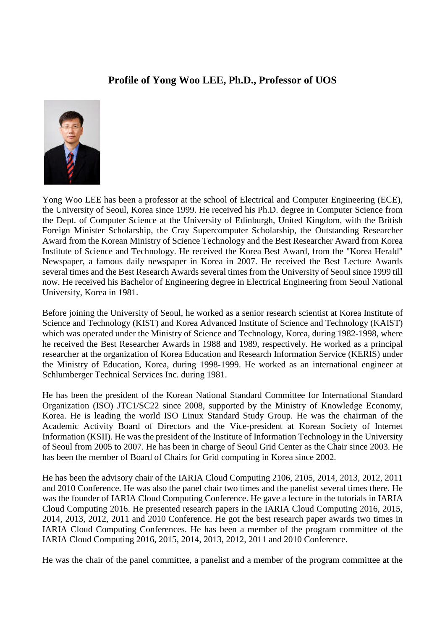## **Profile of Yong Woo LEE, Ph.D., Professor of UOS**



Yong Woo LEE has been a professor at the school of Electrical and Computer Engineering (ECE), the University of Seoul, Korea since 1999. He received his Ph.D. degree in Computer Science from the Dept. of Computer Science at the University of Edinburgh, United Kingdom, with the British Foreign Minister Scholarship, the Cray Supercomputer Scholarship, the Outstanding Researcher Award from the Korean Ministry of Science Technology and the Best Researcher Award from Korea Institute of Science and Technology. He received the Korea Best Award, from the "Korea Herald" Newspaper, a famous daily newspaper in Korea in 2007. He received the Best Lecture Awards several times and the Best Research Awards several times from the University of Seoul since 1999 till now. He received his Bachelor of Engineering degree in Electrical Engineering from Seoul National University, Korea in 1981.

Before joining the University of Seoul, he worked as a senior research scientist at Korea Institute of Science and Technology (KIST) and Korea Advanced Institute of Science and Technology (KAIST) which was operated under the Ministry of Science and Technology, Korea, during 1982-1998, where he received the Best Researcher Awards in 1988 and 1989, respectively. He worked as a principal researcher at the organization of Korea Education and Research Information Service (KERIS) under the Ministry of Education, Korea, during 1998-1999. He worked as an international engineer at Schlumberger Technical Services Inc. during 1981.

He has been the president of the Korean National Standard Committee for International Standard Organization (ISO) JTC1/SC22 since 2008, supported by the Ministry of Knowledge Economy, Korea. He is leading the world ISO Linux Standard Study Group. He was the chairman of the Academic Activity Board of Directors and the Vice-president at Korean Society of Internet Information (KSII). He was the president of the Institute of Information Technology in the University of Seoul from 2005 to 2007. He has been in charge of Seoul Grid Center as the Chair since 2003. He has been the member of Board of Chairs for Grid computing in Korea since 2002.

He has been the advisory chair of the IARIA Cloud Computing 2106, 2105, 2014, 2013, 2012, 2011 and 2010 Conference. He was also the panel chair two times and the panelist several times there. He was the founder of IARIA Cloud Computing Conference. He gave a lecture in the tutorials in IARIA Cloud Computing 2016. He presented research papers in the IARIA Cloud Computing 2016, 2015, 2014, 2013, 2012, 2011 and 2010 Conference. He got the best research paper awards two times in IARIA Cloud Computing Conferences. He has been a member of the program committee of the IARIA Cloud Computing 2016, 2015, 2014, 2013, 2012, 2011 and 2010 Conference.

He was the chair of the panel committee, a panelist and a member of the program committee at the